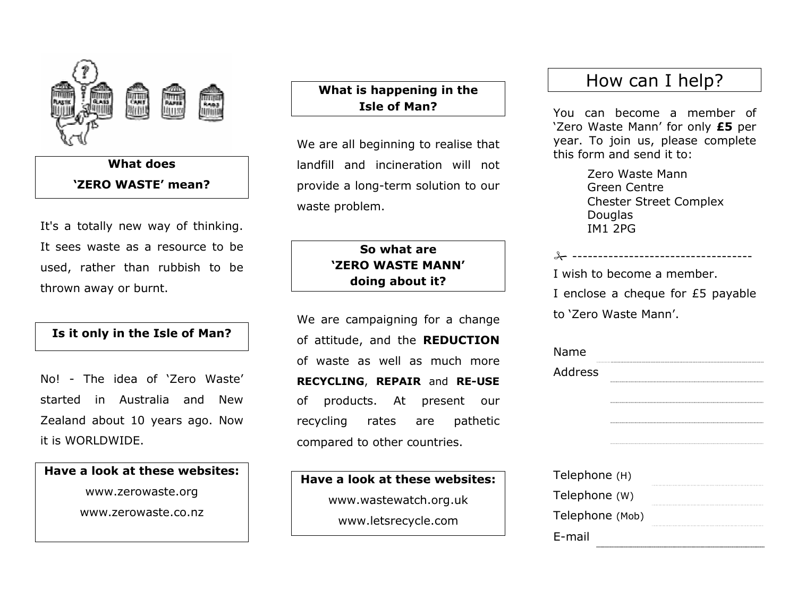

## What does 'ZERO WASTE' mean?

It's a totally new way of thinking. It sees waste as a resource to be used, rather than rubbish to be thrown away or burnt.

#### Is it only in the Isle of Man?

No! - The idea of 'Zero Waste' started in Australia and New Zealand about 10 years ago. Now it is WORLDWIDE.

Have a look at these websites: www.zerowaste.org www.zerowaste.co.nz

#### What is happening in the Isle of Man?

We are all beginning to realise that landfill and incineration will not provide a long-term solution to our waste problem.

### So what are 'ZERO WASTE MANN' doing about it?

We are campaigning for a change of attitude, and the REDUCTION of waste as well as much more RECYCLING, REPAIR and RE-USEof products. At present our recycling rates are pathetic compared to other countries.

Have a look at these websites: www.wastewatch.org.uk www.letsrecycle.com

# How can I help?

You can become a member of 'Zero Waste Mann' for only £5 per year. To join us, please complete this form and send it to:

> Zero Waste Mann Green Centre Chester Street Complex Douglas IM1 2PG

| ______________________            |
|-----------------------------------|
| I wish to become a member.        |
| I enclose a cheque for £5 payable |
| to 'Zero Waste Mann'.             |

| Name            |
|-----------------|
| Address         |
|                 |
|                 |
|                 |
|                 |
|                 |
| Telephone (H)   |
| Telephone (W)   |
| Telephone (Mob) |

E-mail